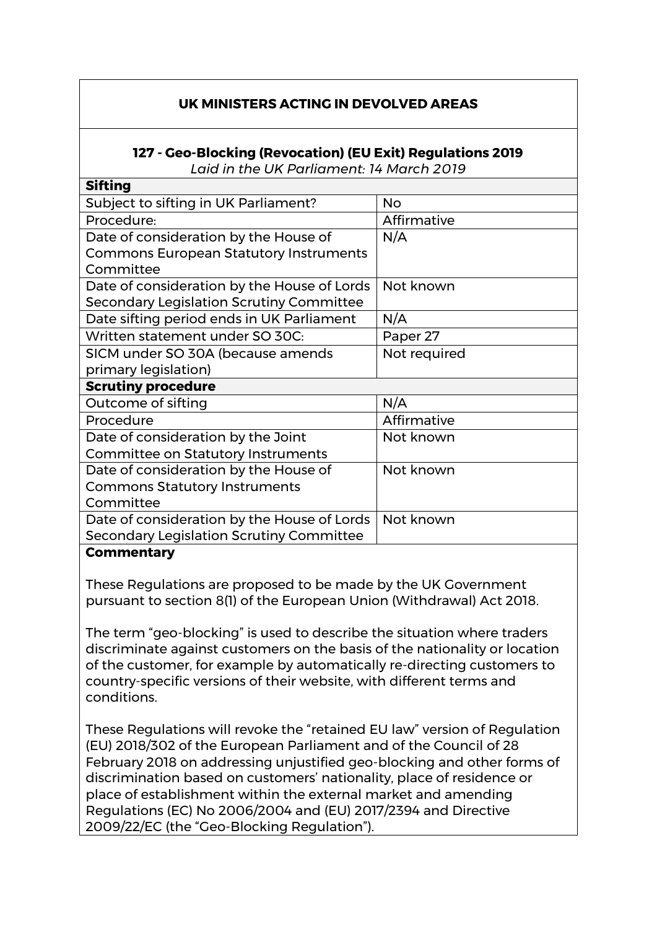## **UK MINISTERS ACTING IN DEVOLVED AREAS**

## **127 - Geo-Blocking (Revocation) (EU Exit) Regulations 2019**

*Laid in the UK Parliament: 14 March 2019*

**Simular** 

| Siiting                                       |              |
|-----------------------------------------------|--------------|
| Subject to sifting in UK Parliament?          | No           |
| Procedure:                                    | Affirmative  |
| Date of consideration by the House of         | N/A          |
| <b>Commons European Statutory Instruments</b> |              |
| Committee                                     |              |
| Date of consideration by the House of Lords   | Not known    |
| Secondary Legislation Scrutiny Committee      |              |
| Date sifting period ends in UK Parliament     | N/A          |
| Written statement under SO 30C:               | Paper 27     |
| SICM under SO 30A (because amends             | Not required |
| primary legislation)                          |              |
| <b>Scrutiny procedure</b>                     |              |
| Outcome of sifting                            | N/A          |
| Procedure                                     | Affirmative  |
| Date of consideration by the Joint            | Not known    |
| <b>Committee on Statutory Instruments</b>     |              |
| Date of consideration by the House of         | Not known    |
| <b>Commons Statutory Instruments</b>          |              |
| Committee                                     |              |
| Date of consideration by the House of Lords   | Not known    |
| Secondary Legislation Scrutiny Committee      |              |
| <b>Commentary</b>                             |              |

These Regulations are proposed to be made by the UK Government pursuant to section 8(1) of the European Union (Withdrawal) Act 2018.

The term "geo-blocking" is used to describe the situation where traders discriminate against customers on the basis of the nationality or location of the customer, for example by automatically re-directing customers to country-specific versions of their website, with different terms and conditions.

These Regulations will revoke the "retained EU law" version of Regulation (EU) 2018/302 of the European Parliament and of the Council of 28 February 2018 on addressing unjustified geo-blocking and other forms of discrimination based on customers' nationality, place of residence or place of establishment within the external market and amending Regulations (EC) No 2006/2004 and (EU) 2017/2394 and Directive 2009/22/EC (the "Geo-Blocking Regulation").